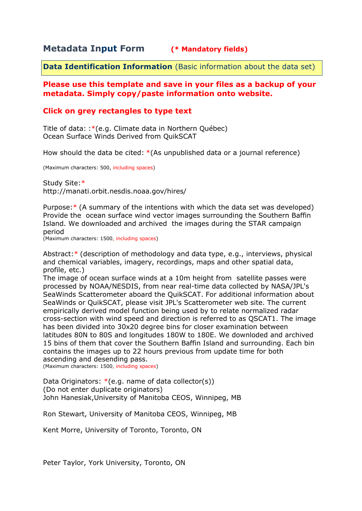# **Metadata Input Form (\* Mandatory fields)**

**Data Identification Information** (Basic information about the data set)

## **Please use this template and save in your files as a backup of your metadata. Simply copy/paste information onto website.**

# **Click on grey rectangles to type text**

Title of data: :\*(e.g. Climate data in Northern Québec) Ocean Surface Winds Derived from QuikSCAT

How should the data be cited: \*(As unpublished data or a journal reference)

(Maximum characters: 500, including spaces)

Study Site:\* http://manati.orbit.nesdis.noaa.gov/hires/

Purpose:\* (A summary of the intentions with which the data set was developed) Provide the ocean surface wind vector images surrounding the Southern Baffin Island. We downloaded and archived the images during the STAR campaign period

(Maximum characters: 1500, including spaces)

Abstract:\* (description of methodology and data type, e.g., interviews, physical and chemical variables, imagery, recordings, maps and other spatial data, profile, etc.)

The image of ocean surface winds at a 10m height from satellite passes were processed by NOAA/NESDIS, from near real-time data collected by NASA/JPL's SeaWinds Scatterometer aboard the QuikSCAT. For additional information about SeaWinds or QuikSCAT, please visit JPL's Scatterometer web site. The current empirically derived model function being used by to relate normalized radar cross-section with wind speed and direction is referred to as QSCAT1. The image has been divided into 30x20 degree bins for closer examination between latitudes 80N to 80S and longitudes 180W to 180E. We downloded and archived 15 bins of them that cover the Southern Baffin Island and surrounding. Each bin contains the images up to 22 hours previous from update time for both ascending and desending pass.

(Maximum characters: 1500, including spaces)

Data Originators:  $*(e.g.$  name of data collector(s)) (Do not enter duplicate originators) John Hanesiak,University of Manitoba CEOS, Winnipeg, MB

Ron Stewart, University of Manitoba CEOS, Winnipeg, MB

Kent Morre, University of Toronto, Toronto, ON

Peter Taylor, York University, Toronto, ON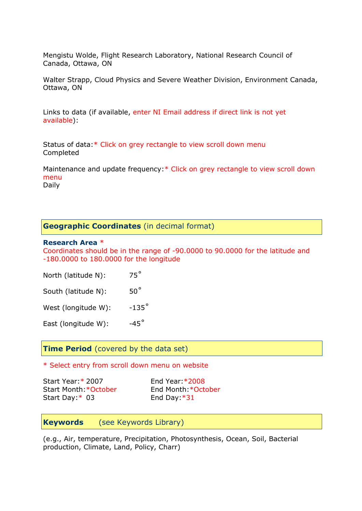Mengistu Wolde, Flight Research Laboratory, National Research Council of Canada, Ottawa, ON

Walter Strapp, Cloud Physics and Severe Weather Division, Environment Canada, Ottawa, ON

Links to data (if available, enter NI Email address if direct link is not yet available):

Status of data:\* Click on grey rectangle to view scroll down menu Completed

Maintenance and update frequency:\* Click on grey rectangle to view scroll down menu Daily

### **Geographic Coordinates** (in decimal format)

#### **Research Area** \*

Coordinates should be in the range of -90.0000 to 90.0000 for the latitude and -180.0000 to 180.0000 for the longitude

| North (latitude N): | $75^\circ$ |
|---------------------|------------|
|                     |            |

South (latitude N): 50°

West (longitude W):  $-135^\circ$ 

East (longitude W):  $-45^\circ$ 

**Time Period** (covered by the data set)

\* Select entry from scroll down menu on website

Start Year:\* 2007 End Year:\*2008 Start Month:\*October End Month:\*October Start Day: \* 03 End Day: \*31

**Keywords** (see Keywords Library)

(e.g., Air, temperature, Precipitation, Photosynthesis, Ocean, Soil, Bacterial production, Climate, Land, Policy, Charr)